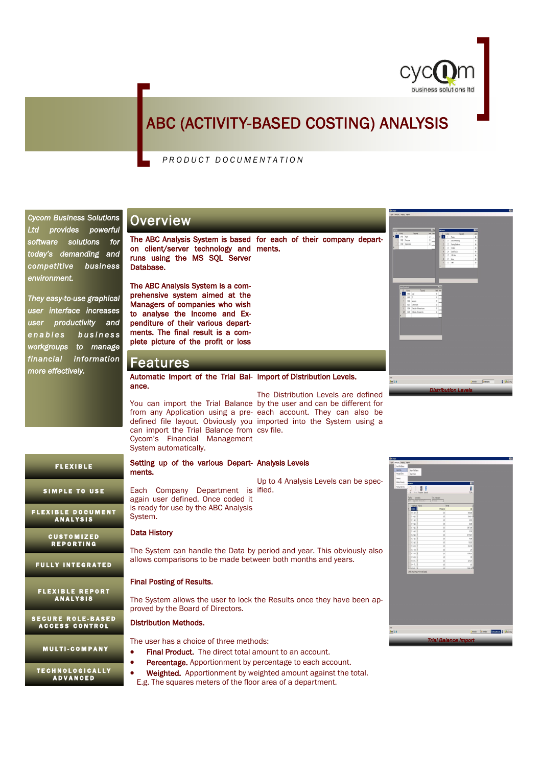

 $\sqrt{8\pi\omega_0}$   $\sqrt{84}$ 

.<br>Kies (2014) <mark>(martina | 314</mark> m

## ABC (ACTIVITY-BASED COSTING) ANALYSIS

## *P R O D U C T D O C U M E N T A T I O N*

The ABC Analysis System is based for each of their company departon client/server technology and ments. runs using the MS SQL Server Database. The ABC Analysis System is a comprehensive system aimed at the Managers of companies who wish to analyse the Income and Expenditure of their various departments. The final result is a complete picture of the profit or loss **Overview** Features Automatic Import of the Trial Bal-Import of Distribution Levels. ance. You can import the Trial Balance by the user and can be different for from any Application using a pre- each account. They can also be defined file layout. Obviously you imported into the System using a can import the Trial Balance from csv file. Cycom's Financial Management System automatically. Setting up of the various Depart-Analysis Levels ments. Each Company Department is ified. again user defined. Once coded it is ready for use by the ABC Analysis System. Up to 4 Analysis Levels can be spec-*Distribution Levels*  The Distribution Levels are defined Data History The System can handle the Data by period and year. This obviously also allows comparisons to be made between both months and years. Final Posting of Results. The System allows the user to lock the Results once they have been approved by the Board of Directors. Distribution Methods. The user has a choice of three methods: • Final Product. The direct total amount to an account. Percentage. Apportionment by percentage to each account. Weighted. Apportionment by weighted amount against the total. E.g. The squares meters of the floor area of a department. *Cycom Business Solutions Ltd provides powerful software solutions for today's demanding and competitive business environment. They easy-to-use graphical user interface increases user productivity and*   $e$  *n a b l es s* b u s in ess *workgroups to manage financial information more effectively.*  F L E X I B L E SIMPLE TO USE FLEXIBLE DOCUMENT<br>Analysis **FULLY INTEGRATED** FLEXIBLE REPORT<br>Analysis CUSTOMIZED<br>Reporting SECURE ROLE-BASED<br>Access control **MULTI-COMPANY** TECHNOLOGICALLY<br>Advanced *Trial Balance Import*